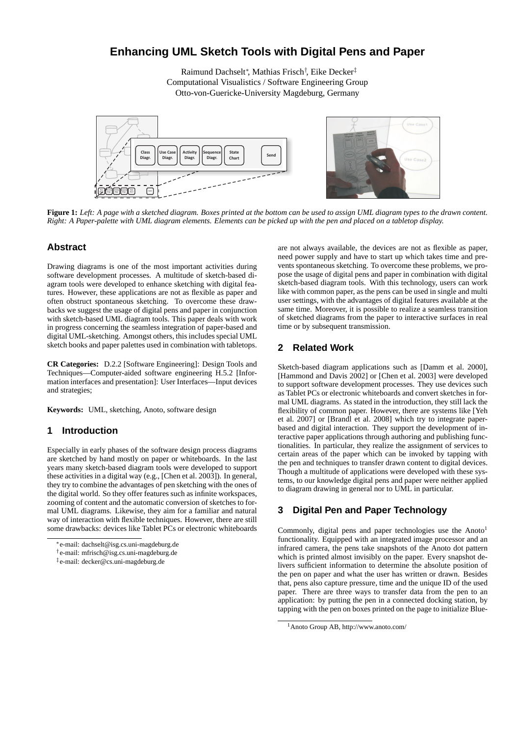# **Enhancing UML Sketch Tools with Digital Pens and Paper**

Raimund Dachselt<sup>∗</sup> , Mathias Frisch† , Eike Decker‡ Computational Visualistics / Software Engineering Group Otto-von-Guericke-University Magdeburg, Germany



**Figure 1:** *Left: A page with a sketched diagram. Boxes printed at the bottom can be used to assign UML diagram types to the drawn content. Right: A Paper-palette with UML diagram elements. Elements can be picked up with the pen and placed on a tabletop display.*

### **Abstract**

Drawing diagrams is one of the most important activities during software development processes. A multitude of sketch-based diagram tools were developed to enhance sketching with digital features. However, these applications are not as flexible as paper and often obstruct spontaneous sketching. To overcome these drawbacks we suggest the usage of digital pens and paper in conjunction with sketch-based UML diagram tools. This paper deals with work in progress concerning the seamless integration of paper-based and digital UML-sketching. Amongst others, this includes special UML sketch books and paper palettes used in combination with tabletops.

**CR Categories:** D.2.2 [Software Engineering]: Design Tools and Techniques—Computer-aided software engineering H.5.2 [Information interfaces and presentation]: User Interfaces—Input devices and strategies;

**Keywords:** UML, sketching, Anoto, software design

#### **1 Introduction**

Especially in early phases of the software design process diagrams are sketched by hand mostly on paper or whiteboards. In the last years many sketch-based diagram tools were developed to support these activities in a digital way (e.g., [Chen et al. 2003]). In general, they try to combine the advantages of pen sketching with the ones of the digital world. So they offer features such as infinite workspaces, zooming of content and the automatic conversion of sketches to formal UML diagrams. Likewise, they aim for a familiar and natural way of interaction with flexible techniques. However, there are still some drawbacks: devices like Tablet PCs or electronic whiteboards are not always available, the devices are not as flexible as paper, need power supply and have to start up which takes time and prevents spontaneous sketching. To overcome these problems, we propose the usage of digital pens and paper in combination with digital sketch-based diagram tools. With this technology, users can work like with common paper, as the pens can be used in single and multi user settings, with the advantages of digital features available at the same time. Moreover, it is possible to realize a seamless transition of sketched diagrams from the paper to interactive surfaces in real time or by subsequent transmission.

## **2 Related Work**

Sketch-based diagram applications such as [Damm et al. 2000], [Hammond and Davis 2002] or [Chen et al. 2003] were developed to support software development processes. They use devices such as Tablet PCs or electronic whiteboards and convert sketches in formal UML diagrams. As stated in the introduction, they still lack the flexibility of common paper. However, there are systems like [Yeh et al. 2007] or [Brandl et al. 2008] which try to integrate paperbased and digital interaction. They support the development of interactive paper applications through authoring and publishing functionalities. In particular, they realize the assignment of services to certain areas of the paper which can be invoked by tapping with the pen and techniques to transfer drawn content to digital devices. Though a multitude of applications were developed with these systems, to our knowledge digital pens and paper were neither applied to diagram drawing in general nor to UML in particular.

# **3 Digital Pen and Paper Technology**

Commonly, digital pens and paper technologies use the Anoto<sup>1</sup> functionality. Equipped with an integrated image processor and an infrared camera, the pens take snapshots of the Anoto dot pattern which is printed almost invisibly on the paper. Every snapshot delivers sufficient information to determine the absolute position of the pen on paper and what the user has written or drawn. Besides that, pens also capture pressure, time and the unique ID of the used paper. There are three ways to transfer data from the pen to an application: by putting the pen in a connected docking station, by tapping with the pen on boxes printed on the page to initialize Blue-

<sup>∗</sup>e-mail: dachselt@isg.cs.uni-magdeburg.de

<sup>†</sup> e-mail: mfrisch@isg.cs.uni-magdeburg.de

<sup>‡</sup> e-mail: decker@cs.uni-magdeburg.de

<sup>1</sup>Anoto Group AB, http://www.anoto.com/